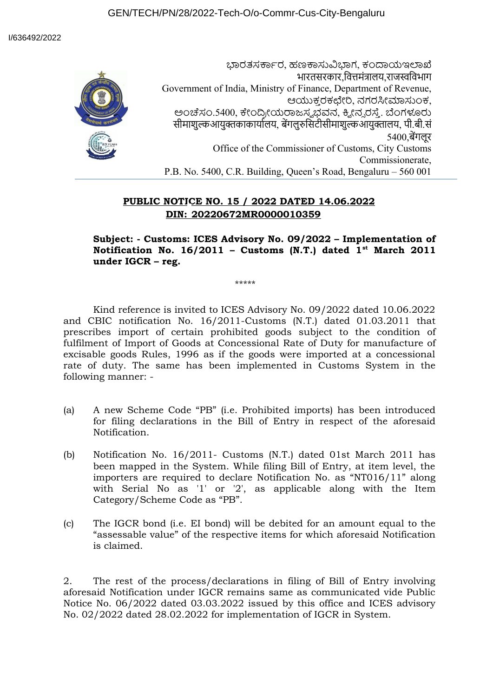ಭಾರತಸರ್ಕಾರ, ಹಣಕಾಸುವಿಭಾಗ, ಕಂದಾಯಇಲಾಖೆ भारतसरकार,वित्तमंत्रालय,राजस्वविभाग Government of India, Ministry of Finance, Department of Revenue, ಆಯುಕ್ತ ರಕಛೇರಿ, ನಗರಸೀಮಾಸುಂಕ, ಅಂಚೆಸಂ.5400, ಕೇಂದ್ರೀಯರಾಜಸ್ವಭವನ, ಕ್ವೀನ್ನರಸ್ತೆ. ಬೆಂಗಳೂರು सीमाशुल्कआयुक्तकाकार्यालय, बेंगलुरुसिटीसीमाशुल्कआयुक्तालय, पी.बी.सं 5400,बेंगलूर Office of the Commissioner of Customs, City Customs Commissionerate, P.B. No. 5400, C.R. Building, Queen's Road, Bengaluru – 560 001

## **PUBLIC NOTICE NO. 15 / 2022 DATED 14.06.2022 DIN: 20220672MR0000010359**

**Subject: - Customs: ICES Advisory No. 09/2022 – Implementation of Notification No. 16/2011 – Customs (N.T.) dated 1st March 2011 under IGCR – reg.**

\*\*\*\*\*

Kind reference is invited to ICES Advisory No. 09/2022 dated 10.06.2022 and CBIC notification No. 16/2011-Customs (N.T.) dated 01.03.2011 that prescribes import of certain prohibited goods subject to the condition of fulfilment of Import of Goods at Concessional Rate of Duty for manufacture of excisable goods Rules, 1996 as if the goods were imported at a concessional rate of duty. The same has been implemented in Customs System in the following manner: -

- (a) A new Scheme Code "PB" (i.e. Prohibited imports) has been introduced for filing declarations in the Bill of Entry in respect of the aforesaid Notification.
- (b) Notification No. 16/2011- Customs (N.T.) dated 01st March 2011 has been mapped in the System. While filing Bill of Entry, at item level, the importers are required to declare Notification No. as "NT016/11" along with Serial No as '1' or '2', as applicable along with the Item Category/Scheme Code as "PB".
- (c) The IGCR bond (i.e. EI bond) will be debited for an amount equal to the "assessable value" of the respective items for which aforesaid Notification is claimed.

2. The rest of the process/declarations in filing of Bill of Entry involving aforesaid Notification under IGCR remains same as communicated vide Public Notice No. 06/2022 dated 03.03.2022 issued by this office and ICES advisory No. 02/2022 dated 28.02.2022 for implementation of IGCR in System.